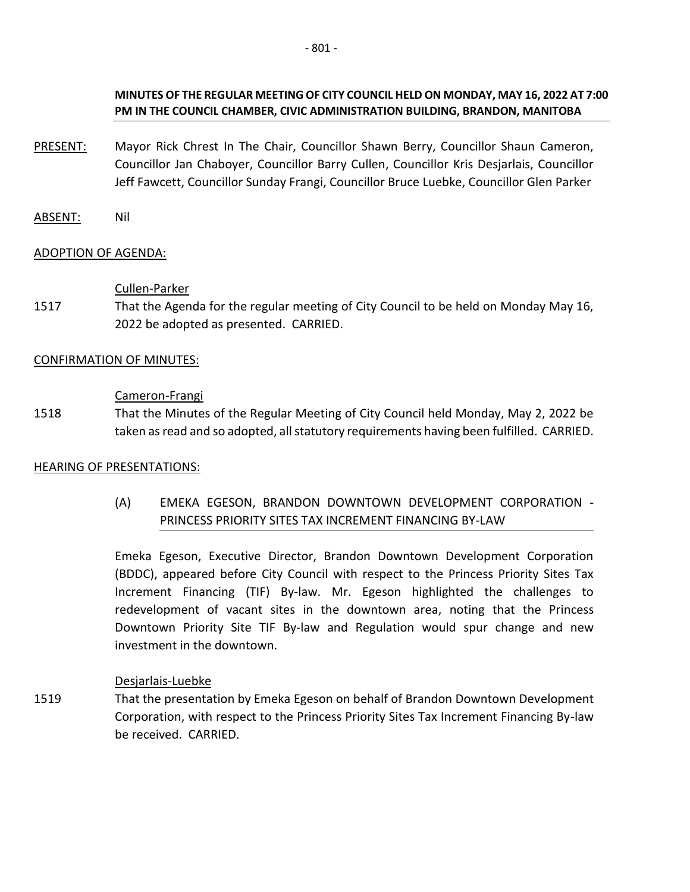### **MINUTES OF THE REGULAR MEETING OF CITY COUNCIL HELD ON MONDAY, MAY 16, 2022 AT 7:00 PM IN THE COUNCIL CHAMBER, CIVIC ADMINISTRATION BUILDING, BRANDON, MANITOBA**

- PRESENT: Mayor Rick Chrest In The Chair, Councillor Shawn Berry, Councillor Shaun Cameron, Councillor Jan Chaboyer, Councillor Barry Cullen, Councillor Kris Desjarlais, Councillor Jeff Fawcett, Councillor Sunday Frangi, Councillor Bruce Luebke, Councillor Glen Parker
- ABSENT: Nil

### ADOPTION OF AGENDA:

### Cullen-Parker

1517 That the Agenda for the regular meeting of City Council to be held on Monday May 16, 2022 be adopted as presented. CARRIED.

### CONFIRMATION OF MINUTES:

### Cameron-Frangi

1518 That the Minutes of the Regular Meeting of City Council held Monday, May 2, 2022 be taken as read and so adopted, all statutory requirements having been fulfilled. CARRIED.

### HEARING OF PRESENTATIONS:

(A) EMEKA EGESON, BRANDON DOWNTOWN DEVELOPMENT CORPORATION - PRINCESS PRIORITY SITES TAX INCREMENT FINANCING BY-LAW

Emeka Egeson, Executive Director, Brandon Downtown Development Corporation (BDDC), appeared before City Council with respect to the Princess Priority Sites Tax Increment Financing (TIF) By-law. Mr. Egeson highlighted the challenges to redevelopment of vacant sites in the downtown area, noting that the Princess Downtown Priority Site TIF By-law and Regulation would spur change and new investment in the downtown.

### Desjarlais-Luebke

1519 That the presentation by Emeka Egeson on behalf of Brandon Downtown Development Corporation, with respect to the Princess Priority Sites Tax Increment Financing By-law be received. CARRIED.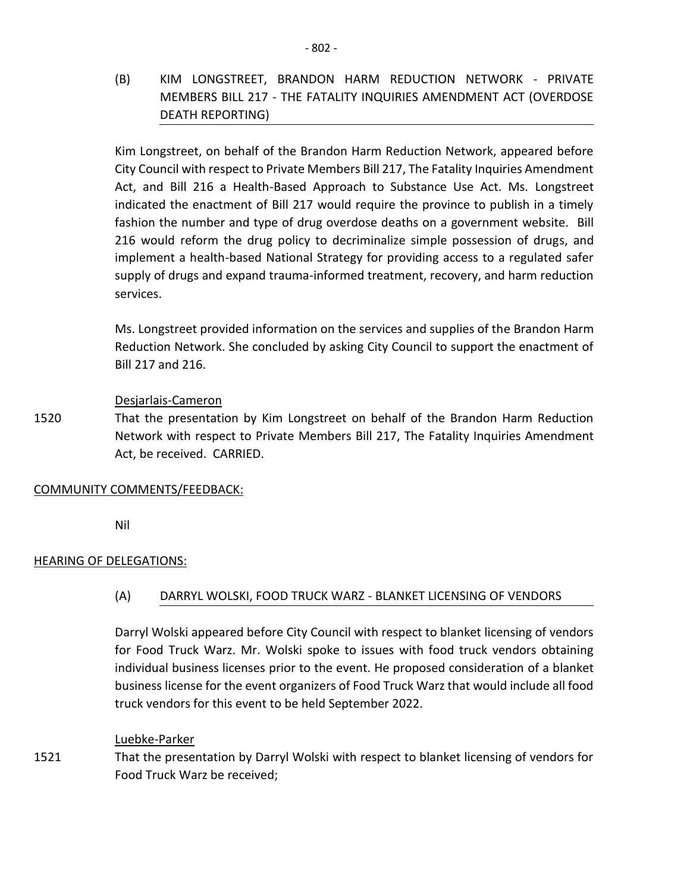(B) KIM LONGSTREET, BRANDON HARM REDUCTION NETWORK - PRIVATE MEMBERS BILL 217 - THE FATALITY INQUIRIES AMENDMENT ACT (OVERDOSE DEATH REPORTING)

Kim Longstreet, on behalf of the Brandon Harm Reduction Network, appeared before City Council with respect to Private Members Bill 217, The Fatality Inquiries Amendment Act, and Bill 216 a Health-Based Approach to Substance Use Act. Ms. Longstreet indicated the enactment of Bill 217 would require the province to publish in a timely fashion the number and type of drug overdose deaths on a government website. Bill 216 would reform the drug policy to decriminalize simple possession of drugs, and implement a health-based National Strategy for providing access to a regulated safer supply of drugs and expand trauma-informed treatment, recovery, and harm reduction services.

Ms. Longstreet provided information on the services and supplies of the Brandon Harm Reduction Network. She concluded by asking City Council to support the enactment of Bill 217 and 216.

### Desjarlais-Cameron

1520 That the presentation by Kim Longstreet on behalf of the Brandon Harm Reduction Network with respect to Private Members Bill 217, The Fatality Inquiries Amendment Act, be received. CARRIED.

### COMMUNITY COMMENTS/FEEDBACK:

Nil

### HEARING OF DELEGATIONS:

### (A) DARRYL WOLSKI, FOOD TRUCK WARZ - BLANKET LICENSING OF VENDORS

Darryl Wolski appeared before City Council with respect to blanket licensing of vendors for Food Truck Warz. Mr. Wolski spoke to issues with food truck vendors obtaining individual business licenses prior to the event. He proposed consideration of a blanket business license for the event organizers of Food Truck Warz that would include all food truck vendors for this event to be held September 2022.

#### Luebke-Parker

1521 That the presentation by Darryl Wolski with respect to blanket licensing of vendors for Food Truck Warz be received;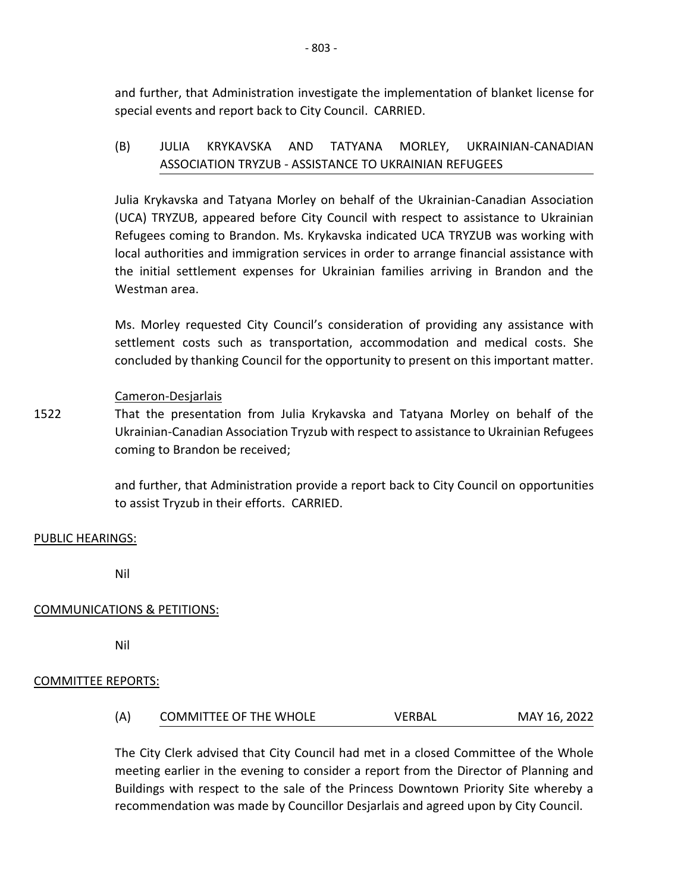and further, that Administration investigate the implementation of blanket license for special events and report back to City Council. CARRIED.

# (B) JULIA KRYKAVSKA AND TATYANA MORLEY, UKRAINIAN-CANADIAN ASSOCIATION TRYZUB - ASSISTANCE TO UKRAINIAN REFUGEES

Julia Krykavska and Tatyana Morley on behalf of the Ukrainian-Canadian Association (UCA) TRYZUB, appeared before City Council with respect to assistance to Ukrainian Refugees coming to Brandon. Ms. Krykavska indicated UCA TRYZUB was working with local authorities and immigration services in order to arrange financial assistance with the initial settlement expenses for Ukrainian families arriving in Brandon and the Westman area.

Ms. Morley requested City Council's consideration of providing any assistance with settlement costs such as transportation, accommodation and medical costs. She concluded by thanking Council for the opportunity to present on this important matter.

### Cameron-Desjarlais

1522 That the presentation from Julia Krykavska and Tatyana Morley on behalf of the Ukrainian-Canadian Association Tryzub with respect to assistance to Ukrainian Refugees coming to Brandon be received;

> and further, that Administration provide a report back to City Council on opportunities to assist Tryzub in their efforts. CARRIED.

#### PUBLIC HEARINGS:

Nil

### COMMUNICATIONS & PETITIONS:

Nil

### COMMITTEE REPORTS:

| (A) | <b>COMMITTEE OF THE WHOLE</b> | VERBAL | MAY 16, 2022 |
|-----|-------------------------------|--------|--------------|
|     |                               |        |              |

The City Clerk advised that City Council had met in a closed Committee of the Whole meeting earlier in the evening to consider a report from the Director of Planning and Buildings with respect to the sale of the Princess Downtown Priority Site whereby a recommendation was made by Councillor Desjarlais and agreed upon by City Council.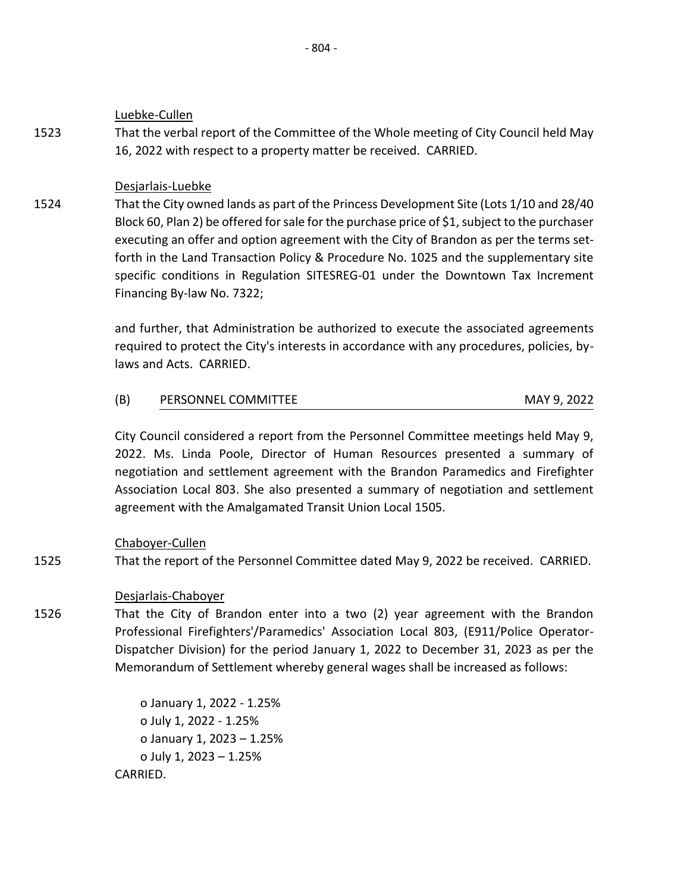Luebke-Cullen

1523 That the verbal report of the Committee of the Whole meeting of City Council held May 16, 2022 with respect to a property matter be received. CARRIED.

Desjarlais-Luebke

1524 That the City owned lands as part of the Princess Development Site (Lots 1/10 and 28/40 Block 60, Plan 2) be offered for sale for the purchase price of \$1, subject to the purchaser executing an offer and option agreement with the City of Brandon as per the terms setforth in the Land Transaction Policy & Procedure No. 1025 and the supplementary site specific conditions in Regulation SITESREG-01 under the Downtown Tax Increment Financing By-law No. 7322;

> and further, that Administration be authorized to execute the associated agreements required to protect the City's interests in accordance with any procedures, policies, bylaws and Acts. CARRIED.

| (B) | PERSONNEL COMMITTEE | MAY 9, 2022 |
|-----|---------------------|-------------|

City Council considered a report from the Personnel Committee meetings held May 9, 2022. Ms. Linda Poole, Director of Human Resources presented a summary of negotiation and settlement agreement with the Brandon Paramedics and Firefighter Association Local 803. She also presented a summary of negotiation and settlement agreement with the Amalgamated Transit Union Local 1505.

Chaboyer-Cullen

1525 That the report of the Personnel Committee dated May 9, 2022 be received. CARRIED.

# Desjarlais-Chaboyer

1526 That the City of Brandon enter into a two (2) year agreement with the Brandon Professional Firefighters'/Paramedics' Association Local 803, (E911/Police Operator-Dispatcher Division) for the period January 1, 2022 to December 31, 2023 as per the Memorandum of Settlement whereby general wages shall be increased as follows:

> o January 1, 2022 - 1.25% o July 1, 2022 - 1.25% o January 1, 2023 – 1.25% o July 1, 2023 – 1.25% CARRIED.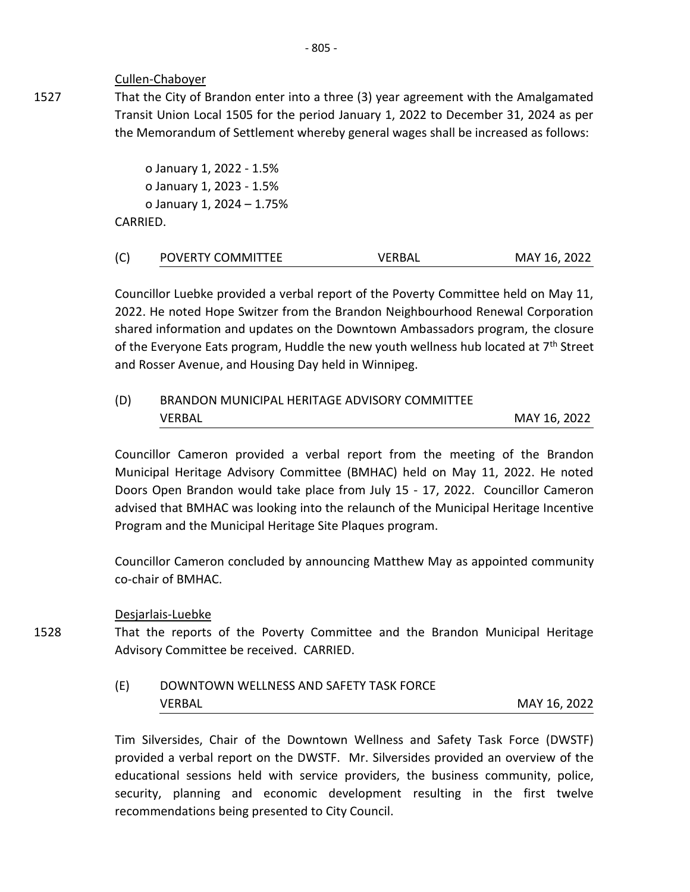#### Cullen-Chaboyer

1527

1528

That the City of Brandon enter into a three (3) year agreement with the Amalgamated Transit Union Local 1505 for the period January 1, 2022 to December 31, 2024 as per the Memorandum of Settlement whereby general wages shall be increased as follows:

o January 1, 2022 - 1.5% o January 1, 2023 - 1.5% o January 1, 2024 – 1.75% CARRIED.

| (C) | POVERTY COMMITTEE | VERBAL | MAY 16, 2022 |
|-----|-------------------|--------|--------------|
|-----|-------------------|--------|--------------|

Councillor Luebke provided a verbal report of the Poverty Committee held on May 11, 2022. He noted Hope Switzer from the Brandon Neighbourhood Renewal Corporation shared information and updates on the Downtown Ambassadors program, the closure of the Everyone Eats program, Huddle the new youth wellness hub located at  $7<sup>th</sup>$  Street and Rosser Avenue, and Housing Day held in Winnipeg.

# (D) BRANDON MUNICIPAL HERITAGE ADVISORY COMMITTEE VERBAL MAY 16, 2022

Councillor Cameron provided a verbal report from the meeting of the Brandon Municipal Heritage Advisory Committee (BMHAC) held on May 11, 2022. He noted Doors Open Brandon would take place from July 15 - 17, 2022. Councillor Cameron advised that BMHAC was looking into the relaunch of the Municipal Heritage Incentive Program and the Municipal Heritage Site Plaques program.

Councillor Cameron concluded by announcing Matthew May as appointed community co-chair of BMHAC.

#### Desjarlais-Luebke

That the reports of the Poverty Committee and the Brandon Municipal Heritage Advisory Committee be received. CARRIED.

| (E) | DOWNTOWN WELLNESS AND SAFETY TASK FORCE |              |
|-----|-----------------------------------------|--------------|
|     | VERBAL                                  | MAY 16, 2022 |

Tim Silversides, Chair of the Downtown Wellness and Safety Task Force (DWSTF) provided a verbal report on the DWSTF. Mr. Silversides provided an overview of the educational sessions held with service providers, the business community, police, security, planning and economic development resulting in the first twelve recommendations being presented to City Council.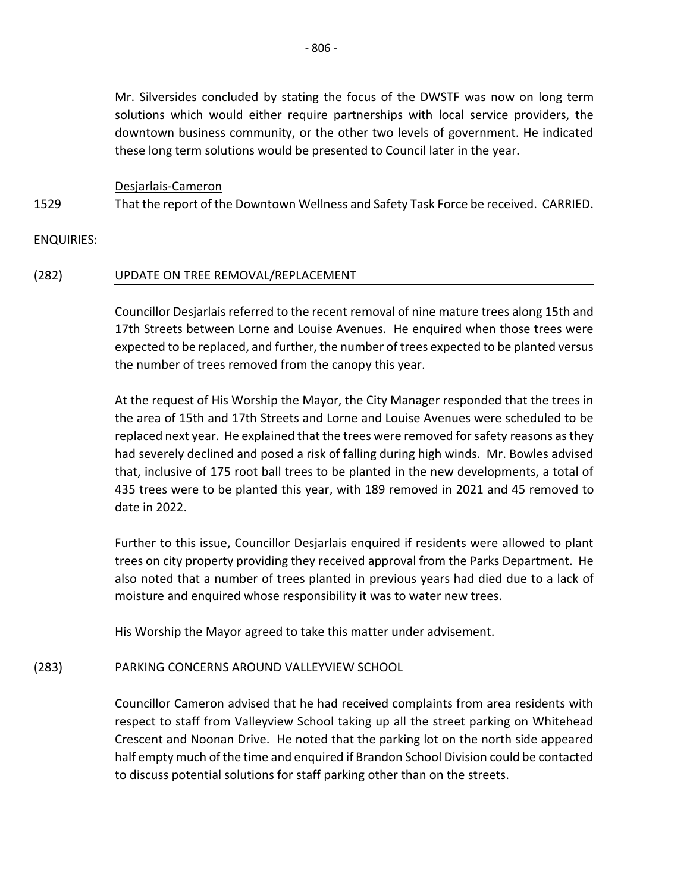Mr. Silversides concluded by stating the focus of the DWSTF was now on long term solutions which would either require partnerships with local service providers, the downtown business community, or the other two levels of government. He indicated these long term solutions would be presented to Council later in the year.

Desjarlais-Cameron

1529 That the report of the Downtown Wellness and Safety Task Force be received. CARRIED.

### ENQUIRIES:

### (282) UPDATE ON TREE REMOVAL/REPLACEMENT

Councillor Desjarlais referred to the recent removal of nine mature trees along 15th and 17th Streets between Lorne and Louise Avenues. He enquired when those trees were expected to be replaced, and further, the number of trees expected to be planted versus the number of trees removed from the canopy this year.

At the request of His Worship the Mayor, the City Manager responded that the trees in the area of 15th and 17th Streets and Lorne and Louise Avenues were scheduled to be replaced next year. He explained that the trees were removed for safety reasons as they had severely declined and posed a risk of falling during high winds. Mr. Bowles advised that, inclusive of 175 root ball trees to be planted in the new developments, a total of 435 trees were to be planted this year, with 189 removed in 2021 and 45 removed to date in 2022.

Further to this issue, Councillor Desjarlais enquired if residents were allowed to plant trees on city property providing they received approval from the Parks Department. He also noted that a number of trees planted in previous years had died due to a lack of moisture and enquired whose responsibility it was to water new trees.

His Worship the Mayor agreed to take this matter under advisement.

#### (283) PARKING CONCERNS AROUND VALLEYVIEW SCHOOL

Councillor Cameron advised that he had received complaints from area residents with respect to staff from Valleyview School taking up all the street parking on Whitehead Crescent and Noonan Drive. He noted that the parking lot on the north side appeared half empty much of the time and enquired if Brandon School Division could be contacted to discuss potential solutions for staff parking other than on the streets.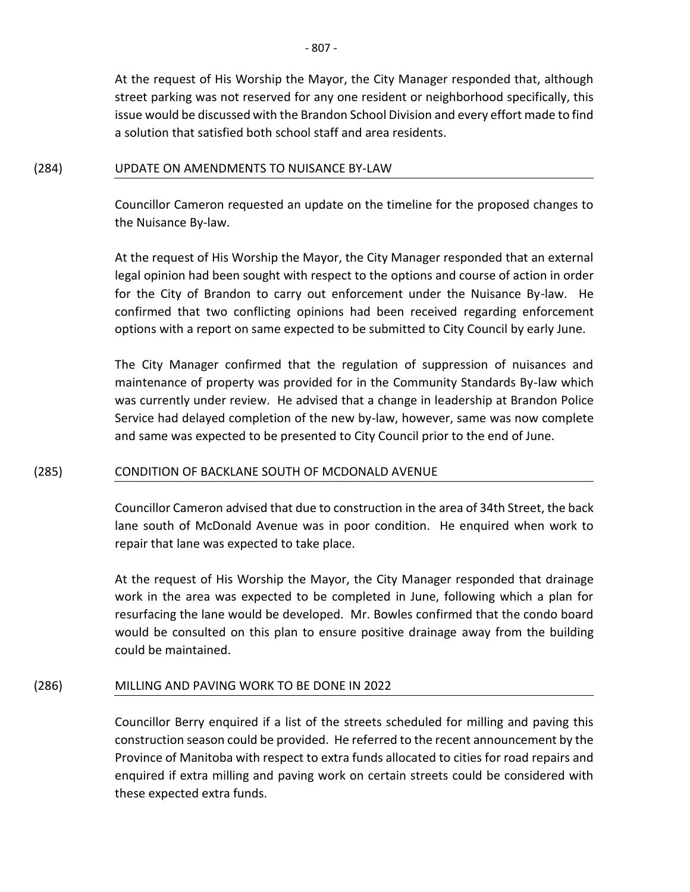At the request of His Worship the Mayor, the City Manager responded that, although street parking was not reserved for any one resident or neighborhood specifically, this issue would be discussed with the Brandon School Division and every effort made to find a solution that satisfied both school staff and area residents.

### (284) UPDATE ON AMENDMENTS TO NUISANCE BY-LAW

Councillor Cameron requested an update on the timeline for the proposed changes to the Nuisance By-law.

At the request of His Worship the Mayor, the City Manager responded that an external legal opinion had been sought with respect to the options and course of action in order for the City of Brandon to carry out enforcement under the Nuisance By-law. He confirmed that two conflicting opinions had been received regarding enforcement options with a report on same expected to be submitted to City Council by early June.

The City Manager confirmed that the regulation of suppression of nuisances and maintenance of property was provided for in the Community Standards By-law which was currently under review. He advised that a change in leadership at Brandon Police Service had delayed completion of the new by-law, however, same was now complete and same was expected to be presented to City Council prior to the end of June.

### (285) CONDITION OF BACKLANE SOUTH OF MCDONALD AVENUE

Councillor Cameron advised that due to construction in the area of 34th Street, the back lane south of McDonald Avenue was in poor condition. He enquired when work to repair that lane was expected to take place.

At the request of His Worship the Mayor, the City Manager responded that drainage work in the area was expected to be completed in June, following which a plan for resurfacing the lane would be developed. Mr. Bowles confirmed that the condo board would be consulted on this plan to ensure positive drainage away from the building could be maintained.

### (286) MILLING AND PAVING WORK TO BE DONE IN 2022

Councillor Berry enquired if a list of the streets scheduled for milling and paving this construction season could be provided. He referred to the recent announcement by the Province of Manitoba with respect to extra funds allocated to cities for road repairs and enquired if extra milling and paving work on certain streets could be considered with these expected extra funds.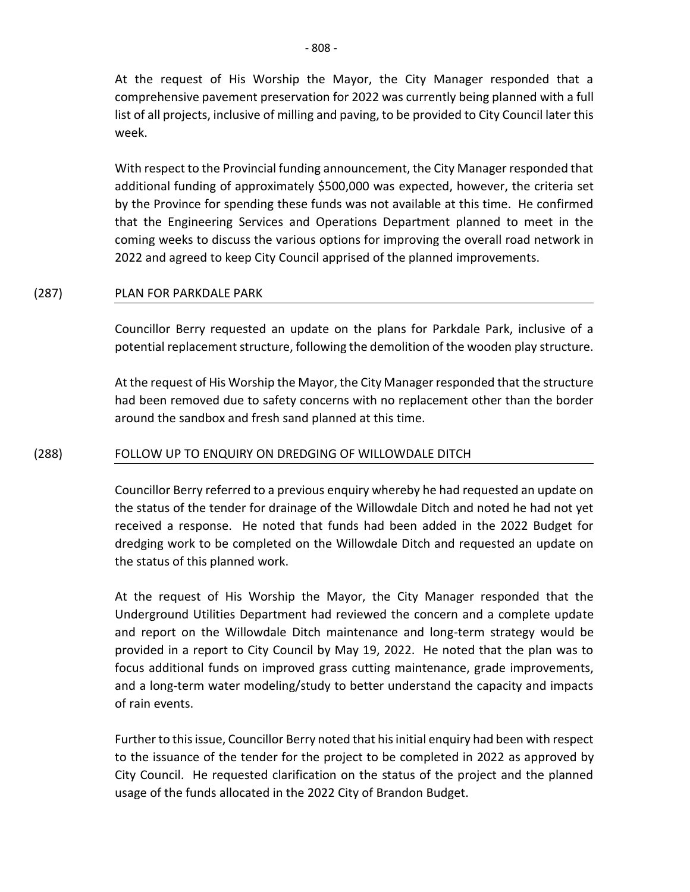At the request of His Worship the Mayor, the City Manager responded that a comprehensive pavement preservation for 2022 was currently being planned with a full list of all projects, inclusive of milling and paving, to be provided to City Council later this week.

With respect to the Provincial funding announcement, the City Manager responded that additional funding of approximately \$500,000 was expected, however, the criteria set by the Province for spending these funds was not available at this time. He confirmed that the Engineering Services and Operations Department planned to meet in the coming weeks to discuss the various options for improving the overall road network in 2022 and agreed to keep City Council apprised of the planned improvements.

### (287) PLAN FOR PARKDALE PARK

Councillor Berry requested an update on the plans for Parkdale Park, inclusive of a potential replacement structure, following the demolition of the wooden play structure.

At the request of His Worship the Mayor, the City Manager responded that the structure had been removed due to safety concerns with no replacement other than the border around the sandbox and fresh sand planned at this time.

#### (288) FOLLOW UP TO ENQUIRY ON DREDGING OF WILLOWDALE DITCH

Councillor Berry referred to a previous enquiry whereby he had requested an update on the status of the tender for drainage of the Willowdale Ditch and noted he had not yet received a response. He noted that funds had been added in the 2022 Budget for dredging work to be completed on the Willowdale Ditch and requested an update on the status of this planned work.

At the request of His Worship the Mayor, the City Manager responded that the Underground Utilities Department had reviewed the concern and a complete update and report on the Willowdale Ditch maintenance and long-term strategy would be provided in a report to City Council by May 19, 2022. He noted that the plan was to focus additional funds on improved grass cutting maintenance, grade improvements, and a long-term water modeling/study to better understand the capacity and impacts of rain events.

Further to this issue, Councillor Berry noted that his initial enquiry had been with respect to the issuance of the tender for the project to be completed in 2022 as approved by City Council. He requested clarification on the status of the project and the planned usage of the funds allocated in the 2022 City of Brandon Budget.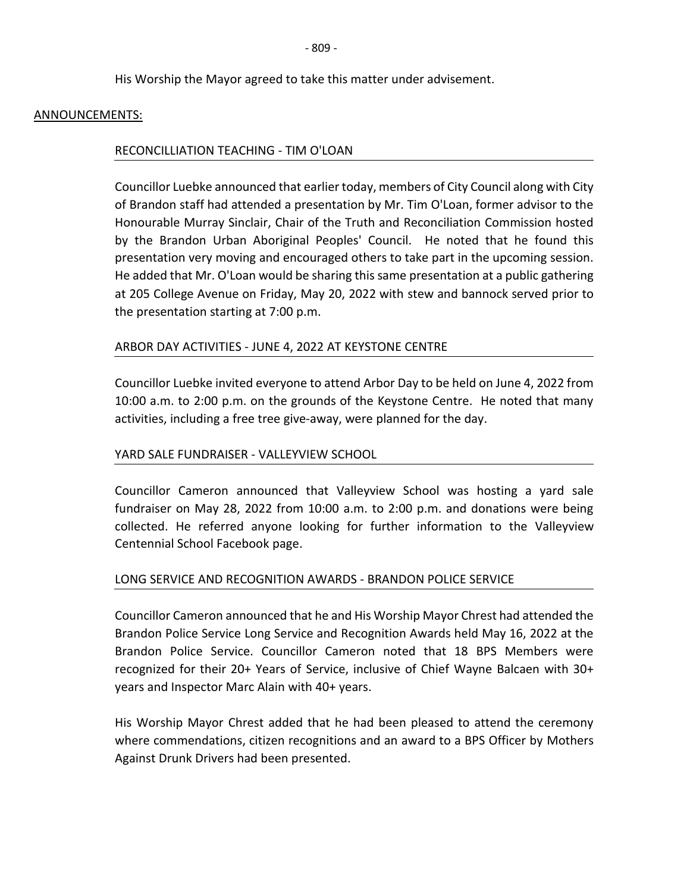His Worship the Mayor agreed to take this matter under advisement.

#### ANNOUNCEMENTS:

### RECONCILLIATION TEACHING - TIM O'LOAN

Councillor Luebke announced that earlier today, members of City Council along with City of Brandon staff had attended a presentation by Mr. Tim O'Loan, former advisor to the Honourable Murray Sinclair, Chair of the Truth and Reconciliation Commission hosted by the Brandon Urban Aboriginal Peoples' Council. He noted that he found this presentation very moving and encouraged others to take part in the upcoming session. He added that Mr. O'Loan would be sharing this same presentation at a public gathering at 205 College Avenue on Friday, May 20, 2022 with stew and bannock served prior to the presentation starting at 7:00 p.m.

### ARBOR DAY ACTIVITIES - JUNE 4, 2022 AT KEYSTONE CENTRE

Councillor Luebke invited everyone to attend Arbor Day to be held on June 4, 2022 from 10:00 a.m. to 2:00 p.m. on the grounds of the Keystone Centre. He noted that many activities, including a free tree give-away, were planned for the day.

### YARD SALE FUNDRAISER - VALLEYVIEW SCHOOL

Councillor Cameron announced that Valleyview School was hosting a yard sale fundraiser on May 28, 2022 from 10:00 a.m. to 2:00 p.m. and donations were being collected. He referred anyone looking for further information to the Valleyview Centennial School Facebook page.

### LONG SERVICE AND RECOGNITION AWARDS - BRANDON POLICE SERVICE

Councillor Cameron announced that he and His Worship Mayor Chrest had attended the Brandon Police Service Long Service and Recognition Awards held May 16, 2022 at the Brandon Police Service. Councillor Cameron noted that 18 BPS Members were recognized for their 20+ Years of Service, inclusive of Chief Wayne Balcaen with 30+ years and Inspector Marc Alain with 40+ years.

His Worship Mayor Chrest added that he had been pleased to attend the ceremony where commendations, citizen recognitions and an award to a BPS Officer by Mothers Against Drunk Drivers had been presented.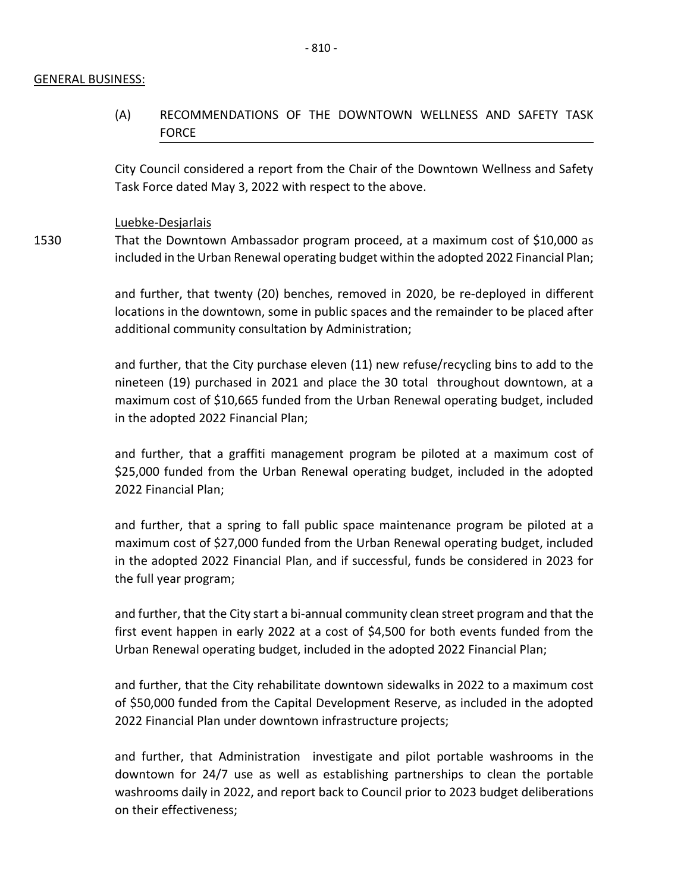#### GENERAL BUSINESS:

## (A) RECOMMENDATIONS OF THE DOWNTOWN WELLNESS AND SAFETY TASK FORCE

City Council considered a report from the Chair of the Downtown Wellness and Safety Task Force dated May 3, 2022 with respect to the above.

#### Luebke-Desjarlais

1530 That the Downtown Ambassador program proceed, at a maximum cost of \$10,000 as included in the Urban Renewal operating budget within the adopted 2022 Financial Plan;

> and further, that twenty (20) benches, removed in 2020, be re-deployed in different locations in the downtown, some in public spaces and the remainder to be placed after additional community consultation by Administration;

> and further, that the City purchase eleven (11) new refuse/recycling bins to add to the nineteen (19) purchased in 2021 and place the 30 total throughout downtown, at a maximum cost of \$10,665 funded from the Urban Renewal operating budget, included in the adopted 2022 Financial Plan;

> and further, that a graffiti management program be piloted at a maximum cost of \$25,000 funded from the Urban Renewal operating budget, included in the adopted 2022 Financial Plan;

> and further, that a spring to fall public space maintenance program be piloted at a maximum cost of \$27,000 funded from the Urban Renewal operating budget, included in the adopted 2022 Financial Plan, and if successful, funds be considered in 2023 for the full year program;

> and further, that the City start a bi-annual community clean street program and that the first event happen in early 2022 at a cost of \$4,500 for both events funded from the Urban Renewal operating budget, included in the adopted 2022 Financial Plan;

> and further, that the City rehabilitate downtown sidewalks in 2022 to a maximum cost of \$50,000 funded from the Capital Development Reserve, as included in the adopted 2022 Financial Plan under downtown infrastructure projects;

> and further, that Administration investigate and pilot portable washrooms in the downtown for 24/7 use as well as establishing partnerships to clean the portable washrooms daily in 2022, and report back to Council prior to 2023 budget deliberations on their effectiveness;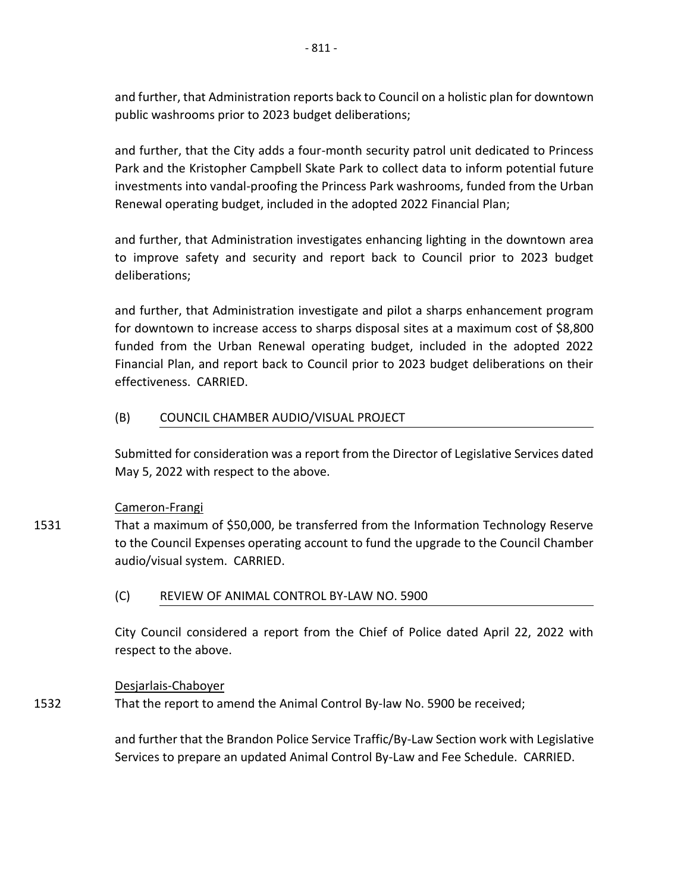and further, that Administration reports back to Council on a holistic plan for downtown public washrooms prior to 2023 budget deliberations;

and further, that the City adds a four-month security patrol unit dedicated to Princess Park and the Kristopher Campbell Skate Park to collect data to inform potential future investments into vandal-proofing the Princess Park washrooms, funded from the Urban Renewal operating budget, included in the adopted 2022 Financial Plan;

and further, that Administration investigates enhancing lighting in the downtown area to improve safety and security and report back to Council prior to 2023 budget deliberations;

and further, that Administration investigate and pilot a sharps enhancement program for downtown to increase access to sharps disposal sites at a maximum cost of \$8,800 funded from the Urban Renewal operating budget, included in the adopted 2022 Financial Plan, and report back to Council prior to 2023 budget deliberations on their effectiveness. CARRIED.

### (B) COUNCIL CHAMBER AUDIO/VISUAL PROJECT

Submitted for consideration was a report from the Director of Legislative Services dated May 5, 2022 with respect to the above.

### Cameron-Frangi

1531 That a maximum of \$50,000, be transferred from the Information Technology Reserve to the Council Expenses operating account to fund the upgrade to the Council Chamber audio/visual system. CARRIED.

### (C) REVIEW OF ANIMAL CONTROL BY-LAW NO. 5900

City Council considered a report from the Chief of Police dated April 22, 2022 with respect to the above.

### Desjarlais-Chaboyer

1532 That the report to amend the Animal Control By-law No. 5900 be received;

> and further that the Brandon Police Service Traffic/By-Law Section work with Legislative Services to prepare an updated Animal Control By-Law and Fee Schedule. CARRIED.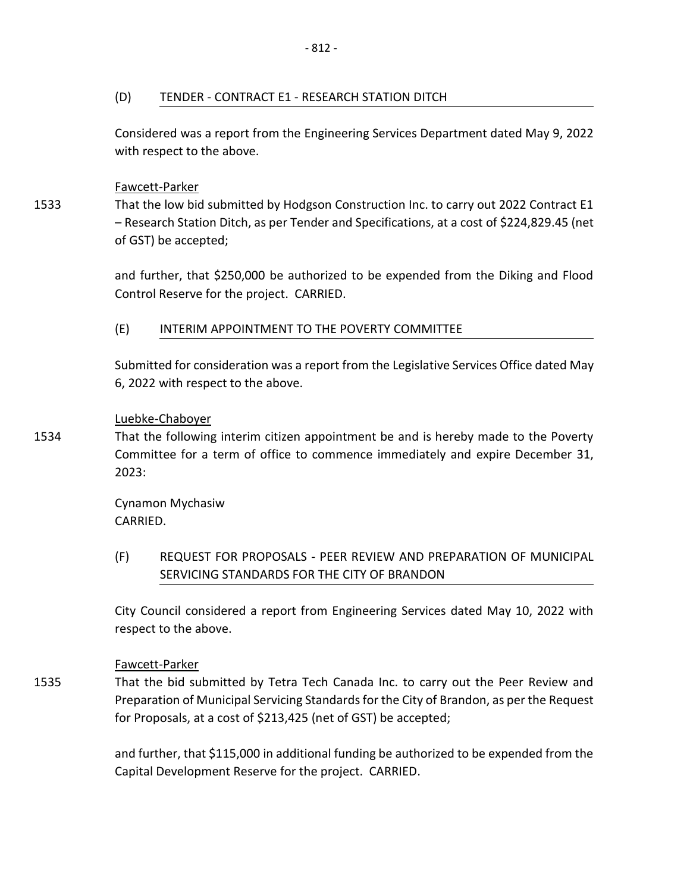(D) TENDER - CONTRACT E1 - RESEARCH STATION DITCH

Considered was a report from the Engineering Services Department dated May 9, 2022 with respect to the above.

### Fawcett-Parker

1533 That the low bid submitted by Hodgson Construction Inc. to carry out 2022 Contract E1 – Research Station Ditch, as per Tender and Specifications, at a cost of \$224,829.45 (net of GST) be accepted;

> and further, that \$250,000 be authorized to be expended from the Diking and Flood Control Reserve for the project. CARRIED.

### (E) INTERIM APPOINTMENT TO THE POVERTY COMMITTEE

Submitted for consideration was a report from the Legislative Services Office dated May 6, 2022 with respect to the above.

### Luebke-Chaboyer

1534 That the following interim citizen appointment be and is hereby made to the Poverty Committee for a term of office to commence immediately and expire December 31, 2023:

> Cynamon Mychasiw CARRIED.

(F) REQUEST FOR PROPOSALS - PEER REVIEW AND PREPARATION OF MUNICIPAL SERVICING STANDARDS FOR THE CITY OF BRANDON

City Council considered a report from Engineering Services dated May 10, 2022 with respect to the above.

### Fawcett-Parker

1535 That the bid submitted by Tetra Tech Canada Inc. to carry out the Peer Review and Preparation of Municipal Servicing Standards for the City of Brandon, as per the Request for Proposals, at a cost of \$213,425 (net of GST) be accepted;

> and further, that \$115,000 in additional funding be authorized to be expended from the Capital Development Reserve for the project. CARRIED.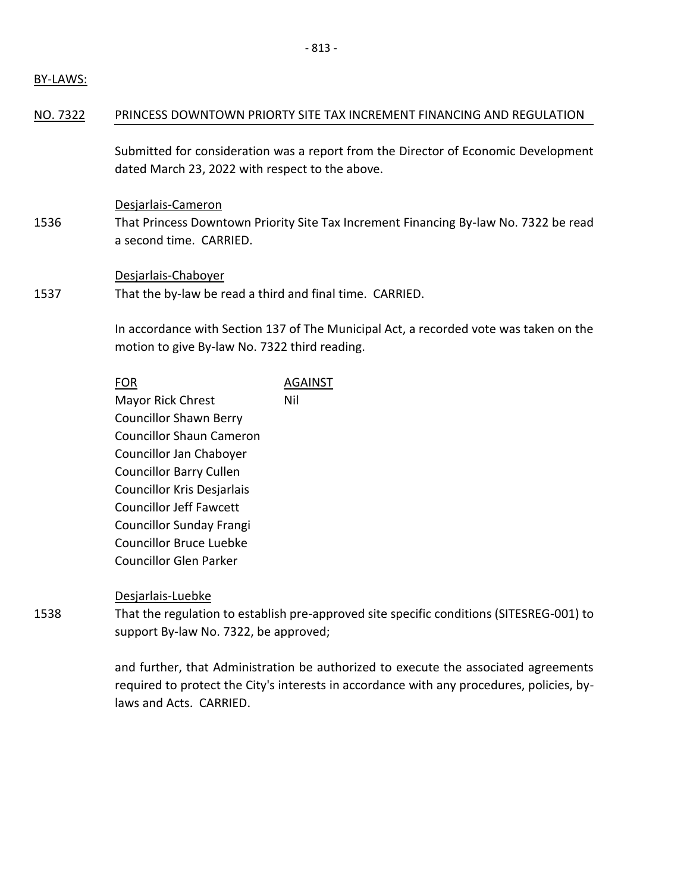### BY-LAWS:

#### NO. 7322 PRINCESS DOWNTOWN PRIORTY SITE TAX INCREMENT FINANCING AND REGULATION

Submitted for consideration was a report from the Director of Economic Development dated March 23, 2022 with respect to the above.

Desjarlais-Cameron

1536 That Princess Downtown Priority Site Tax Increment Financing By-law No. 7322 be read a second time. CARRIED.

#### Desjarlais-Chaboyer

1537 That the by-law be read a third and final time. CARRIED.

> In accordance with Section 137 of The Municipal Act, a recorded vote was taken on the motion to give By-law No. 7322 third reading.

| FOR                             | <b>AGAINST</b> |
|---------------------------------|----------------|
| <b>Mayor Rick Chrest</b>        | Nil            |
| <b>Councillor Shawn Berry</b>   |                |
| <b>Councillor Shaun Cameron</b> |                |
| Councillor Jan Chaboyer         |                |
| <b>Councillor Barry Cullen</b>  |                |
| Councillor Kris Desjarlais      |                |
| <b>Councillor Jeff Fawcett</b>  |                |
| <b>Councillor Sunday Frangi</b> |                |
| <b>Councillor Bruce Luebke</b>  |                |
| <b>Councillor Glen Parker</b>   |                |
|                                 |                |

#### Desjarlais-Luebke

That the regulation to establish pre-approved site specific conditions (SITESREG-001) to support By-law No. 7322, be approved;

and further, that Administration be authorized to execute the associated agreements required to protect the City's interests in accordance with any procedures, policies, bylaws and Acts. CARRIED.

1538